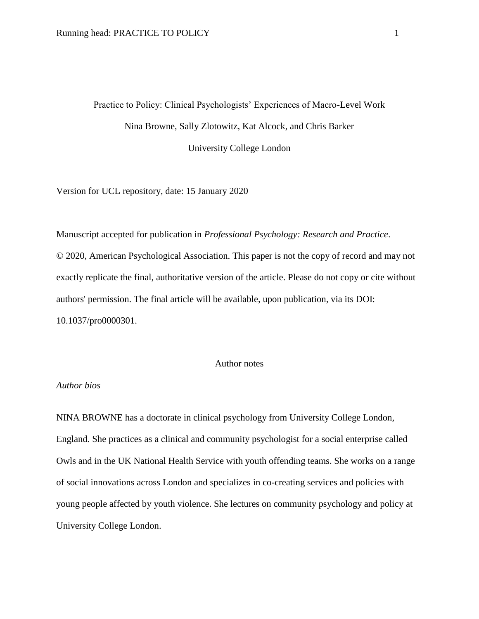# Practice to Policy: Clinical Psychologists' Experiences of Macro-Level Work Nina Browne, Sally Zlotowitz, Kat Alcock, and Chris Barker University College London

Version for UCL repository, date: 15 January 2020

Manuscript accepted for publication in *Professional Psychology: Research and Practice*. © 2020, American Psychological Association. This paper is not the copy of record and may not exactly replicate the final, authoritative version of the article. Please do not copy or cite without authors' permission. The final article will be available, upon publication, via its DOI: 10.1037/pro0000301.

## Author notes

## *Author bios*

NINA BROWNE has a doctorate in clinical psychology from University College London, England. She practices as a clinical and community psychologist for a social enterprise called Owls and in the UK National Health Service with youth offending teams. She works on a range of social innovations across London and specializes in co-creating services and policies with young people affected by youth violence. She lectures on community psychology and policy at University College London.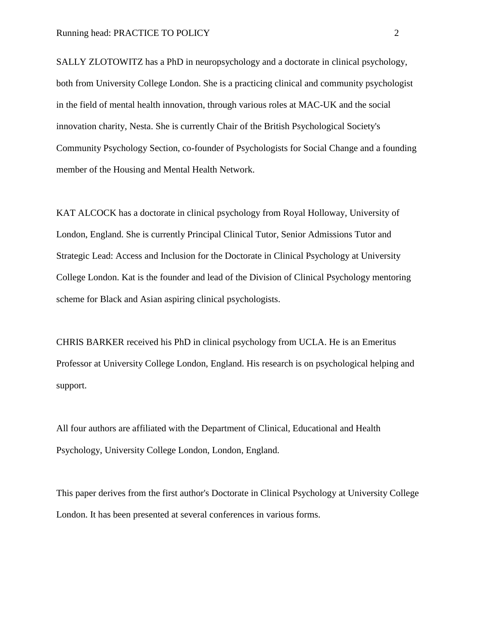SALLY ZLOTOWITZ has a PhD in neuropsychology and a doctorate in clinical psychology, both from University College London. She is a practicing clinical and community psychologist in the field of mental health innovation, through various roles at MAC-UK and the social innovation charity, Nesta. She is currently Chair of the British Psychological Society's Community Psychology Section, co-founder of Psychologists for Social Change and a founding member of the Housing and Mental Health Network.

KAT ALCOCK has a doctorate in clinical psychology from Royal Holloway, University of London, England. She is currently Principal Clinical Tutor, Senior Admissions Tutor and Strategic Lead: Access and Inclusion for the Doctorate in Clinical Psychology at University College London. Kat is the founder and lead of the Division of Clinical Psychology mentoring scheme for Black and Asian aspiring clinical psychologists.

CHRIS BARKER received his PhD in clinical psychology from UCLA. He is an Emeritus Professor at University College London, England. His research is on psychological helping and support.

All four authors are affiliated with the Department of Clinical, Educational and Health Psychology, University College London, London, England.

This paper derives from the first author's Doctorate in Clinical Psychology at University College London. It has been presented at several conferences in various forms.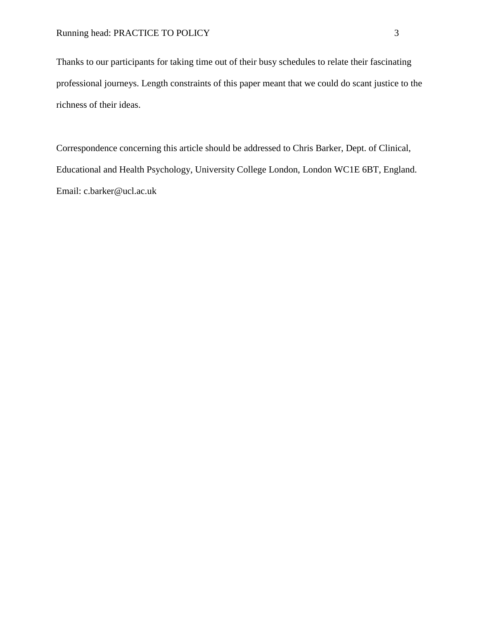Thanks to our participants for taking time out of their busy schedules to relate their fascinating professional journeys. Length constraints of this paper meant that we could do scant justice to the richness of their ideas.

Correspondence concerning this article should be addressed to Chris Barker, Dept. of Clinical, Educational and Health Psychology, University College London, London WC1E 6BT, England. Email: c.barker@ucl.ac.uk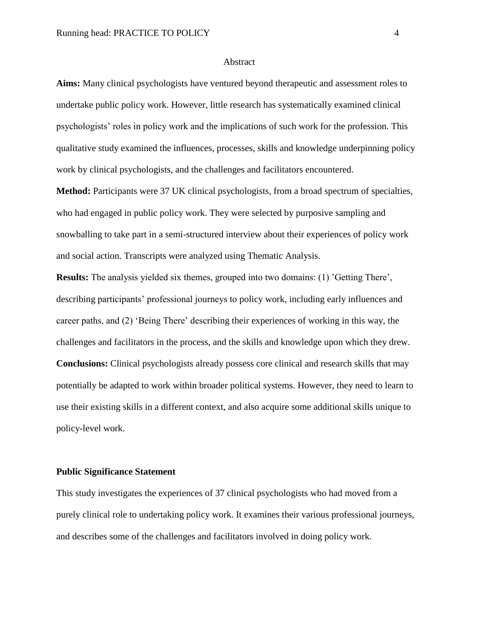#### Abstract

**Aims:** Many clinical psychologists have ventured beyond therapeutic and assessment roles to undertake public policy work. However, little research has systematically examined clinical psychologists' roles in policy work and the implications of such work for the profession. This qualitative study examined the influences, processes, skills and knowledge underpinning policy work by clinical psychologists, and the challenges and facilitators encountered.

**Method:** Participants were 37 UK clinical psychologists, from a broad spectrum of specialties, who had engaged in public policy work. They were selected by purposive sampling and snowballing to take part in a semi-structured interview about their experiences of policy work and social action. Transcripts were analyzed using Thematic Analysis.

**Results:** The analysis yielded six themes, grouped into two domains: (1) 'Getting There', describing participants' professional journeys to policy work, including early influences and career paths, and (2) 'Being There' describing their experiences of working in this way, the challenges and facilitators in the process, and the skills and knowledge upon which they drew. **Conclusions:** Clinical psychologists already possess core clinical and research skills that may potentially be adapted to work within broader political systems. However, they need to learn to use their existing skills in a different context, and also acquire some additional skills unique to policy-level work.

## **Public Significance Statement**

This study investigates the experiences of 37 clinical psychologists who had moved from a purely clinical role to undertaking policy work. It examines their various professional journeys, and describes some of the challenges and facilitators involved in doing policy work.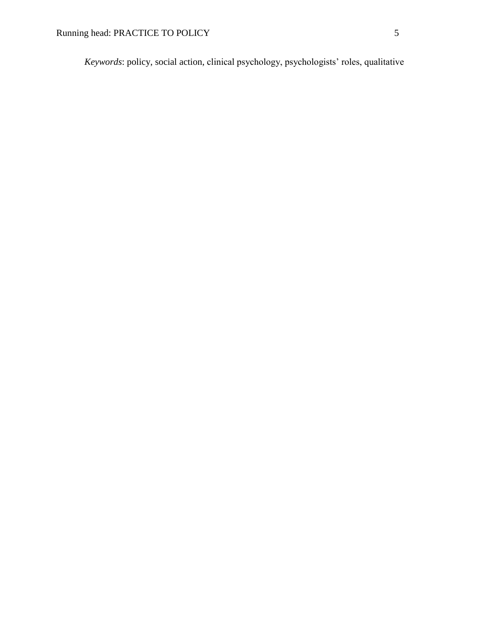*Keywords*: policy, social action, clinical psychology, psychologists' roles, qualitative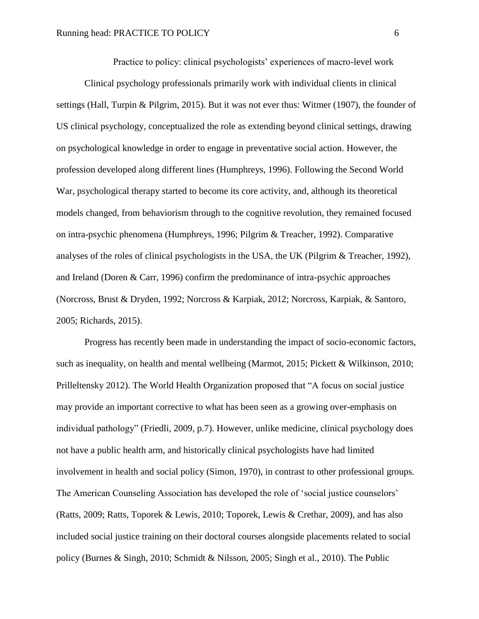Practice to policy: clinical psychologists' experiences of macro-level work

Clinical psychology professionals primarily work with individual clients in clinical settings (Hall, Turpin & Pilgrim, 2015). But it was not ever thus: Witmer (1907), the founder of US clinical psychology, conceptualized the role as extending beyond clinical settings, drawing on psychological knowledge in order to engage in preventative social action. However, the profession developed along different lines (Humphreys, 1996). Following the Second World War, psychological therapy started to become its core activity, and, although its theoretical models changed, from behaviorism through to the cognitive revolution, they remained focused on intra-psychic phenomena (Humphreys, 1996; Pilgrim & Treacher, 1992). Comparative analyses of the roles of clinical psychologists in the USA, the UK (Pilgrim & Treacher, 1992), and Ireland (Doren & Carr, 1996) confirm the predominance of intra-psychic approaches (Norcross, Brust & Dryden, 1992; Norcross & Karpiak, 2012; Norcross, Karpiak, & Santoro, 2005; Richards, 2015).

Progress has recently been made in understanding the impact of socio-economic factors, such as inequality, on health and mental wellbeing (Marmot, 2015; Pickett & Wilkinson, 2010; Prilleltensky 2012). The World Health Organization proposed that "A focus on social justice may provide an important corrective to what has been seen as a growing over-emphasis on individual pathology" (Friedli, 2009, p.7). However, unlike medicine, clinical psychology does not have a public health arm, and historically clinical psychologists have had limited involvement in health and social policy (Simon, 1970), in contrast to other professional groups. The American Counseling Association has developed the role of 'social justice counselors' (Ratts, 2009; Ratts, Toporek & Lewis, 2010; Toporek, Lewis & Crethar, 2009), and has also included social justice training on their doctoral courses alongside placements related to social policy (Burnes & Singh, 2010; Schmidt & Nilsson, 2005; Singh et al., 2010). The Public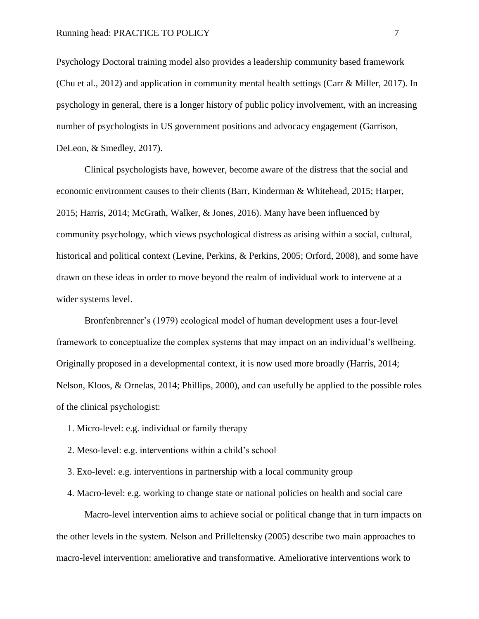Psychology Doctoral training model also provides a leadership community based framework (Chu et al., 2012) and application in community mental health settings (Carr & Miller, 2017). In psychology in general, there is a longer history of public policy involvement, with an increasing number of psychologists in US government positions and advocacy engagement (Garrison, DeLeon, & Smedley, 2017).

Clinical psychologists have, however, become aware of the distress that the social and economic environment causes to their clients (Barr, Kinderman & Whitehead, 2015; Harper, 2015; Harris, 2014; McGrath, Walker, & Jones, 2016). Many have been influenced by community psychology, which views psychological distress as arising within a social, cultural, historical and political context (Levine, Perkins, & Perkins, 2005; Orford, 2008), and some have drawn on these ideas in order to move beyond the realm of individual work to intervene at a wider systems level.

Bronfenbrenner's (1979) ecological model of human development uses a four-level framework to conceptualize the complex systems that may impact on an individual's wellbeing. Originally proposed in a developmental context, it is now used more broadly (Harris, 2014; Nelson, Kloos, & Ornelas, 2014; Phillips, 2000), and can usefully be applied to the possible roles of the clinical psychologist:

- 1. Micro-level: e.g. individual or family therapy
- 2. Meso-level: e.g. interventions within a child's school
- 3. Exo-level: e.g. interventions in partnership with a local community group
- 4. Macro-level: e.g. working to change state or national policies on health and social care

Macro-level intervention aims to achieve social or political change that in turn impacts on the other levels in the system. Nelson and Prilleltensky (2005) describe two main approaches to macro-level intervention: ameliorative and transformative. Ameliorative interventions work to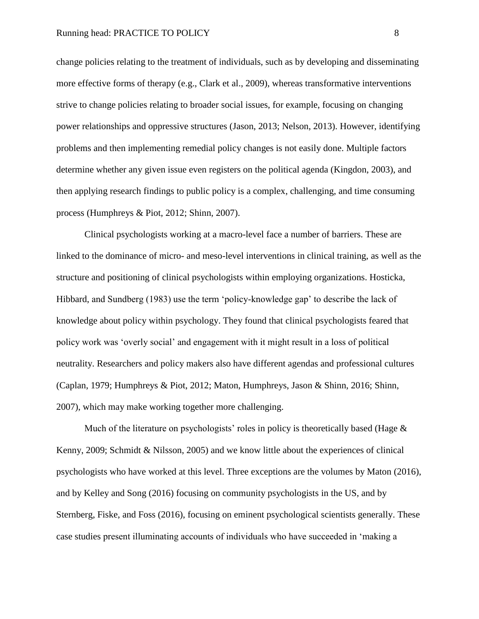change policies relating to the treatment of individuals, such as by developing and disseminating more effective forms of therapy (e.g., Clark et al., 2009), whereas transformative interventions strive to change policies relating to broader social issues, for example, focusing on changing power relationships and oppressive structures (Jason, 2013; Nelson, 2013). However, identifying problems and then implementing remedial policy changes is not easily done. Multiple factors determine whether any given issue even registers on the political agenda (Kingdon, 2003), and then applying research findings to public policy is a complex, challenging, and time consuming process (Humphreys & Piot, 2012; Shinn, 2007).

Clinical psychologists working at a macro-level face a number of barriers. These are linked to the dominance of micro- and meso-level interventions in clinical training, as well as the structure and positioning of clinical psychologists within employing organizations. Hosticka, Hibbard, and Sundberg (1983) use the term 'policy-knowledge gap' to describe the lack of knowledge about policy within psychology. They found that clinical psychologists feared that policy work was 'overly social' and engagement with it might result in a loss of political neutrality. Researchers and policy makers also have different agendas and professional cultures (Caplan, 1979; Humphreys & Piot, 2012; Maton, Humphreys, Jason & Shinn, 2016; Shinn, 2007), which may make working together more challenging.

Much of the literature on psychologists' roles in policy is theoretically based (Hage  $\&$ Kenny, 2009; Schmidt & Nilsson, 2005) and we know little about the experiences of clinical psychologists who have worked at this level. Three exceptions are the volumes by Maton (2016), and by Kelley and Song (2016) focusing on community psychologists in the US, and by Sternberg, Fiske, and Foss (2016), focusing on eminent psychological scientists generally. These case studies present illuminating accounts of individuals who have succeeded in 'making a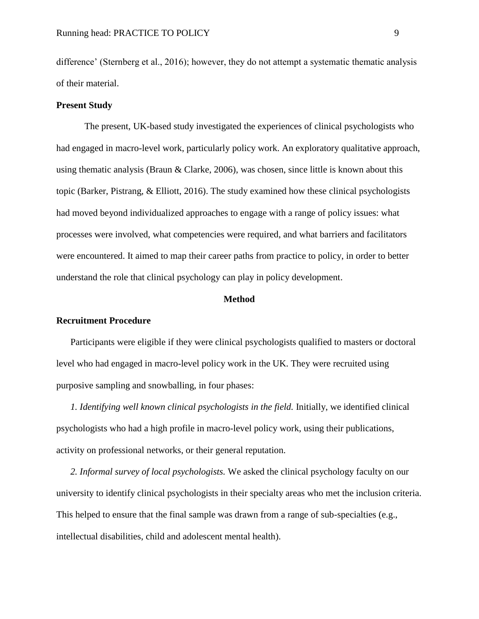difference' (Sternberg et al., 2016); however, they do not attempt a systematic thematic analysis of their material.

## **Present Study**

The present, UK-based study investigated the experiences of clinical psychologists who had engaged in macro-level work, particularly policy work. An exploratory qualitative approach, using thematic analysis (Braun & Clarke, 2006), was chosen, since little is known about this topic (Barker, Pistrang, & Elliott, 2016). The study examined how these clinical psychologists had moved beyond individualized approaches to engage with a range of policy issues: what processes were involved, what competencies were required, and what barriers and facilitators were encountered. It aimed to map their career paths from practice to policy, in order to better understand the role that clinical psychology can play in policy development.

#### **Method**

## **Recruitment Procedure**

Participants were eligible if they were clinical psychologists qualified to masters or doctoral level who had engaged in macro-level policy work in the UK. They were recruited using purposive sampling and snowballing, in four phases:

*1. Identifying well known clinical psychologists in the field.* Initially, we identified clinical psychologists who had a high profile in macro-level policy work, using their publications, activity on professional networks, or their general reputation.

*2. Informal survey of local psychologists.* We asked the clinical psychology faculty on our university to identify clinical psychologists in their specialty areas who met the inclusion criteria. This helped to ensure that the final sample was drawn from a range of sub-specialties (e.g., intellectual disabilities, child and adolescent mental health).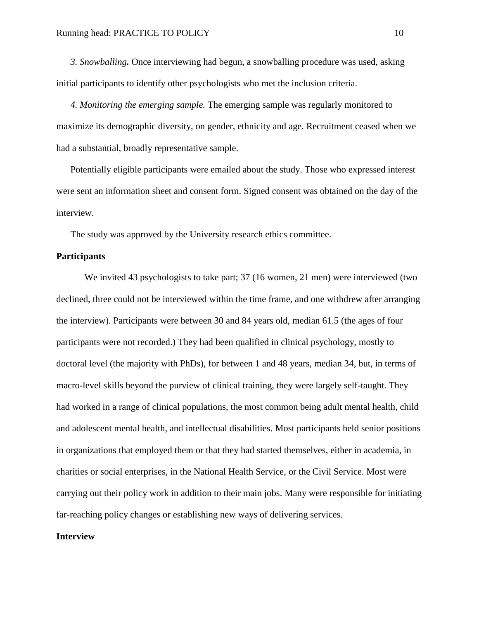*3. Snowballing.* Once interviewing had begun, a snowballing procedure was used, asking initial participants to identify other psychologists who met the inclusion criteria.

*4. Monitoring the emerging sample.* The emerging sample was regularly monitored to maximize its demographic diversity, on gender, ethnicity and age. Recruitment ceased when we had a substantial, broadly representative sample.

Potentially eligible participants were emailed about the study. Those who expressed interest were sent an information sheet and consent form. Signed consent was obtained on the day of the interview.

The study was approved by the University research ethics committee.

## **Participants**

We invited 43 psychologists to take part; 37 (16 women, 21 men) were interviewed (two declined, three could not be interviewed within the time frame, and one withdrew after arranging the interview). Participants were between 30 and 84 years old, median 61.5 (the ages of four participants were not recorded.) They had been qualified in clinical psychology, mostly to doctoral level (the majority with PhDs), for between 1 and 48 years, median 34, but, in terms of macro-level skills beyond the purview of clinical training, they were largely self-taught. They had worked in a range of clinical populations, the most common being adult mental health, child and adolescent mental health, and intellectual disabilities. Most participants held senior positions in organizations that employed them or that they had started themselves, either in academia, in charities or social enterprises, in the National Health Service, or the Civil Service. Most were carrying out their policy work in addition to their main jobs. Many were responsible for initiating far-reaching policy changes or establishing new ways of delivering services.

## **Interview**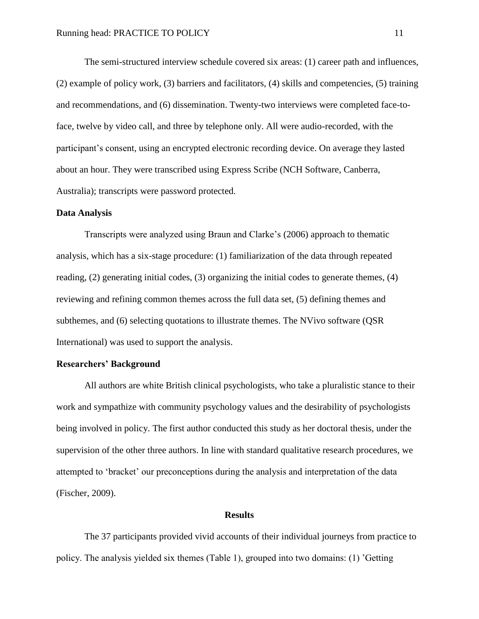The semi-structured interview schedule covered six areas: (1) career path and influences, (2) example of policy work, (3) barriers and facilitators, (4) skills and competencies, (5) training and recommendations, and (6) dissemination. Twenty-two interviews were completed face-toface, twelve by video call, and three by telephone only. All were audio-recorded, with the participant's consent, using an encrypted electronic recording device. On average they lasted about an hour. They were transcribed using Express Scribe (NCH Software, Canberra, Australia); transcripts were password protected.

#### **Data Analysis**

Transcripts were analyzed using Braun and Clarke's (2006) approach to thematic analysis, which has a six-stage procedure: (1) familiarization of the data through repeated reading, (2) generating initial codes, (3) organizing the initial codes to generate themes, (4) reviewing and refining common themes across the full data set, (5) defining themes and subthemes, and (6) selecting quotations to illustrate themes. The NVivo software (QSR International) was used to support the analysis.

## **Researchers' Background**

All authors are white British clinical psychologists, who take a pluralistic stance to their work and sympathize with community psychology values and the desirability of psychologists being involved in policy. The first author conducted this study as her doctoral thesis, under the supervision of the other three authors. In line with standard qualitative research procedures, we attempted to 'bracket' our preconceptions during the analysis and interpretation of the data (Fischer, 2009).

## **Results**

The 37 participants provided vivid accounts of their individual journeys from practice to policy. The analysis yielded six themes (Table 1), grouped into two domains: (1) 'Getting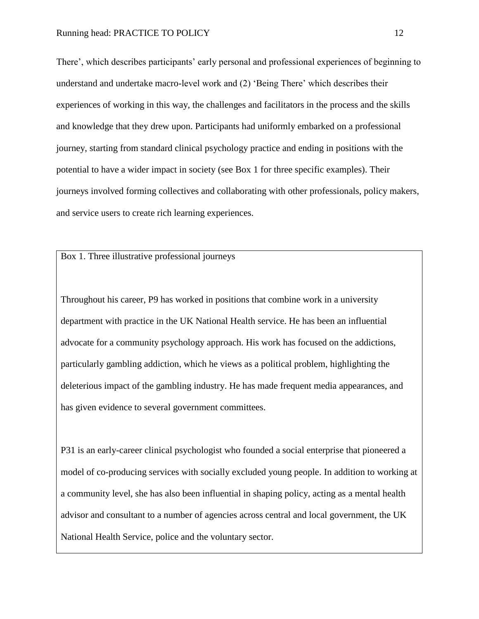There', which describes participants' early personal and professional experiences of beginning to understand and undertake macro-level work and (2) 'Being There' which describes their experiences of working in this way, the challenges and facilitators in the process and the skills and knowledge that they drew upon. Participants had uniformly embarked on a professional journey, starting from standard clinical psychology practice and ending in positions with the potential to have a wider impact in society (see Box 1 for three specific examples). Their journeys involved forming collectives and collaborating with other professionals, policy makers, and service users to create rich learning experiences.

Box 1. Three illustrative professional journeys

Throughout his career, P9 has worked in positions that combine work in a university department with practice in the UK National Health service. He has been an influential advocate for a community psychology approach. His work has focused on the addictions, particularly gambling addiction, which he views as a political problem, highlighting the deleterious impact of the gambling industry. He has made frequent media appearances, and has given evidence to several government committees.

P31 is an early-career clinical psychologist who founded a social enterprise that pioneered a model of co-producing services with socially excluded young people. In addition to working at a community level, she has also been influential in shaping policy, acting as a mental health advisor and consultant to a number of agencies across central and local government, the UK National Health Service, police and the voluntary sector.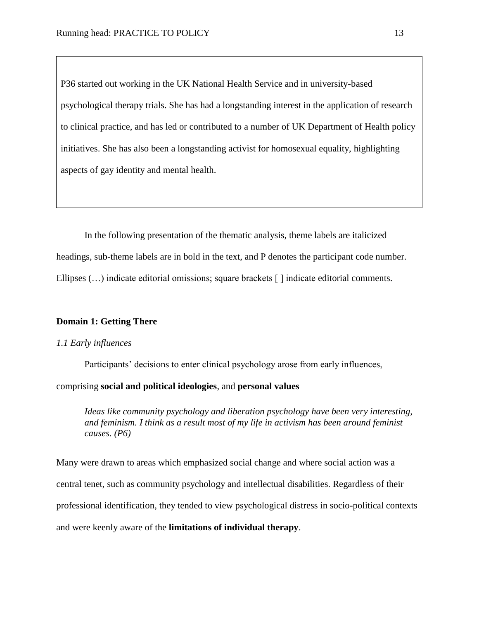P36 started out working in the UK National Health Service and in university-based psychological therapy trials. She has had a longstanding interest in the application of research to clinical practice, and has led or contributed to a number of UK Department of Health policy initiatives. She has also been a longstanding activist for homosexual equality, highlighting aspects of gay identity and mental health.

In the following presentation of the thematic analysis, theme labels are italicized headings, sub-theme labels are in bold in the text, and P denotes the participant code number. Ellipses (…) indicate editorial omissions; square brackets [ ] indicate editorial comments.

## **Domain 1: Getting There**

## *1.1 Early influences*

Participants' decisions to enter clinical psychology arose from early influences,

comprising **social and political ideologies**, and **personal values**

*Ideas like community psychology and liberation psychology have been very interesting, and feminism. I think as a result most of my life in activism has been around feminist causes. (P6)*

Many were drawn to areas which emphasized social change and where social action was a central tenet, such as community psychology and intellectual disabilities. Regardless of their professional identification, they tended to view psychological distress in socio-political contexts and were keenly aware of the **limitations of individual therapy**.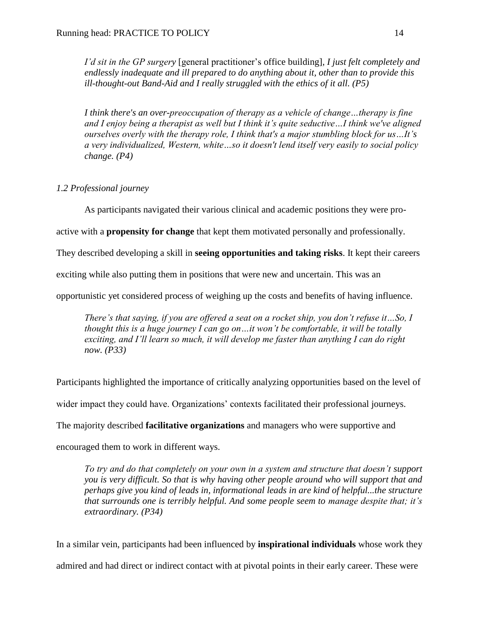*I'd sit in the GP surgery* [general practitioner's office building]*, I just felt completely and endlessly inadequate and ill prepared to do anything about it, other than to provide this ill-thought-out Band-Aid and I really struggled with the ethics of it all. (P5)*

*I think there's an over-preoccupation of therapy as a vehicle of change…therapy is fine and I enjoy being a therapist as well but I think it's quite seductive…I think we've aligned ourselves overly with the therapy role, I think that's a major stumbling block for us…It's a very individualized, Western, white…so it doesn't lend itself very easily to social policy change. (P4)*

## *1.2 Professional journey*

As participants navigated their various clinical and academic positions they were pro-

active with a **propensity for change** that kept them motivated personally and professionally.

They described developing a skill in **seeing opportunities and taking risks**. It kept their careers

exciting while also putting them in positions that were new and uncertain. This was an

opportunistic yet considered process of weighing up the costs and benefits of having influence.

*There's that saying, if you are offered a seat on a rocket ship, you don't refuse it…So, I thought this is a huge journey I can go on…it won't be comfortable, it will be totally exciting, and I'll learn so much, it will develop me faster than anything I can do right now. (P33)*

Participants highlighted the importance of critically analyzing opportunities based on the level of

wider impact they could have. Organizations' contexts facilitated their professional journeys.

The majority described **facilitative organizations** and managers who were supportive and

encouraged them to work in different ways.

*To try and do that completely on your own in a system and structure that doesn't support you is very difficult. So that is why having other people around who will support that and perhaps give you kind of leads in, informational leads in are kind of helpful...the structure that surrounds one is terribly helpful. And some people seem to manage despite that; it's extraordinary. (P34)*

In a similar vein, participants had been influenced by **inspirational individuals** whose work they admired and had direct or indirect contact with at pivotal points in their early career. These were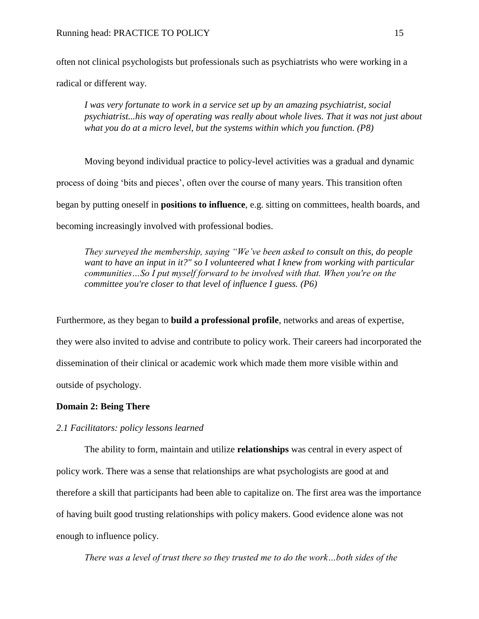often not clinical psychologists but professionals such as psychiatrists who were working in a radical or different way.

*I was very fortunate to work in a service set up by an amazing psychiatrist, social psychiatrist...his way of operating was really about whole lives. That it was not just about what you do at a micro level, but the systems within which you function. (P8)*

Moving beyond individual practice to policy-level activities was a gradual and dynamic process of doing 'bits and pieces', often over the course of many years. This transition often began by putting oneself in **positions to influence**, e.g. sitting on committees, health boards, and becoming increasingly involved with professional bodies.

*They surveyed the membership, saying "We've been asked to consult on this, do people want to have an input in it?" so I volunteered what I knew from working with particular communities…So I put myself forward to be involved with that. When you're on the committee you're closer to that level of influence I guess. (P6)*

Furthermore, as they began to **build a professional profile**, networks and areas of expertise, they were also invited to advise and contribute to policy work. Their careers had incorporated the dissemination of their clinical or academic work which made them more visible within and outside of psychology.

## **Domain 2: Being There**

## *2.1 Facilitators: policy lessons learned*

The ability to form, maintain and utilize **relationships** was central in every aspect of policy work. There was a sense that relationships are what psychologists are good at and therefore a skill that participants had been able to capitalize on. The first area was the importance of having built good trusting relationships with policy makers. Good evidence alone was not enough to influence policy.

*There was a level of trust there so they trusted me to do the work…both sides of the*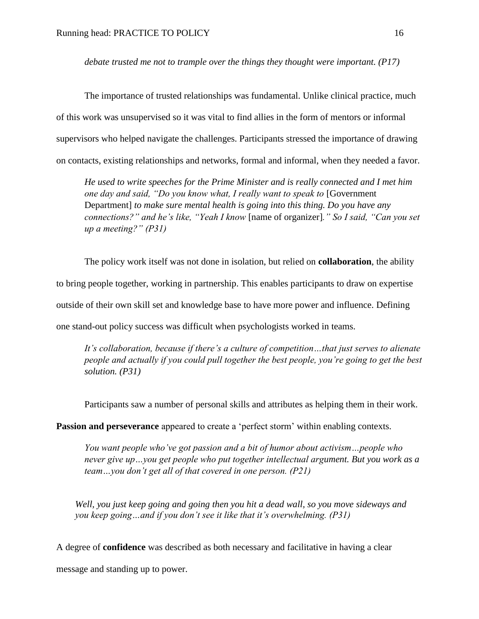*debate trusted me not to trample over the things they thought were important. (P17)*

The importance of trusted relationships was fundamental. Unlike clinical practice, much of this work was unsupervised so it was vital to find allies in the form of mentors or informal supervisors who helped navigate the challenges. Participants stressed the importance of drawing on contacts, existing relationships and networks, formal and informal, when they needed a favor.

*He used to write speeches for the Prime Minister and is really connected and I met him one day and said, "Do you know what, I really want to speak to* [Government Department] *to make sure mental health is going into this thing. Do you have any connections?" and he's like, "Yeah I know* [name of organizer]*." So I said, "Can you set up a meeting?" (P31)*

The policy work itself was not done in isolation, but relied on **collaboration**, the ability to bring people together, working in partnership. This enables participants to draw on expertise outside of their own skill set and knowledge base to have more power and influence. Defining one stand-out policy success was difficult when psychologists worked in teams.

*It's collaboration, because if there's a culture of competition…that just serves to alienate people and actually if you could pull together the best people, you're going to get the best solution. (P31)*

Participants saw a number of personal skills and attributes as helping them in their work.

Passion and perseverance appeared to create a 'perfect storm' within enabling contexts.

*You want people who've got passion and a bit of humor about activism…people who never give up…you get people who put together intellectual argument. But you work as a team…you don't get all of that covered in one person. (P21)*

*Well, you just keep going and going then you hit a dead wall, so you move sideways and you keep going…and if you don't see it like that it's overwhelming. (P31)*

A degree of **confidence** was described as both necessary and facilitative in having a clear message and standing up to power.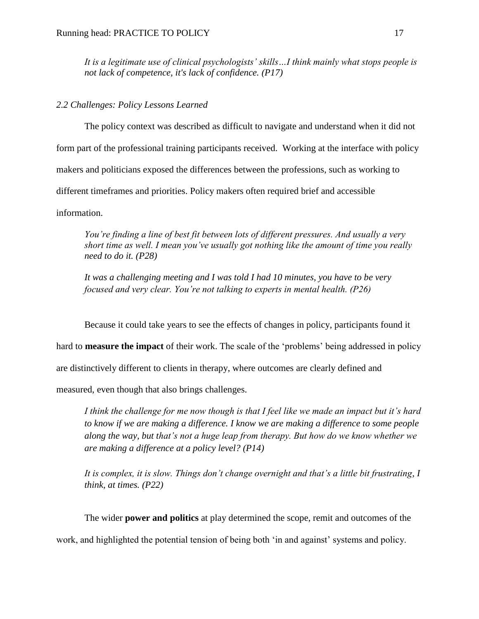*It is a legitimate use of clinical psychologists' skills…I think mainly what stops people is not lack of competence, it's lack of confidence. (P17)* 

## *2.2 Challenges: Policy Lessons Learned*

The policy context was described as difficult to navigate and understand when it did not form part of the professional training participants received. Working at the interface with policy makers and politicians exposed the differences between the professions, such as working to different timeframes and priorities. Policy makers often required brief and accessible information.

*You're finding a line of best fit between lots of different pressures. And usually a very short time as well. I mean you've usually got nothing like the amount of time you really need to do it. (P28)*

*It was a challenging meeting and I was told I had 10 minutes, you have to be very focused and very clear. You're not talking to experts in mental health. (P26)*

Because it could take years to see the effects of changes in policy, participants found it

hard to **measure the impact** of their work. The scale of the 'problems' being addressed in policy

are distinctively different to clients in therapy, where outcomes are clearly defined and

measured, even though that also brings challenges.

*I think the challenge for me now though is that I feel like we made an impact but it's hard to know if we are making a difference. I know we are making a difference to some people along the way, but that's not a huge leap from therapy. But how do we know whether we are making a difference at a policy level? (P14)*

*It is complex, it is slow. Things don't change overnight and that's a little bit frustrating, I think, at times. (P22)*

The wider **power and politics** at play determined the scope, remit and outcomes of the

work, and highlighted the potential tension of being both 'in and against' systems and policy.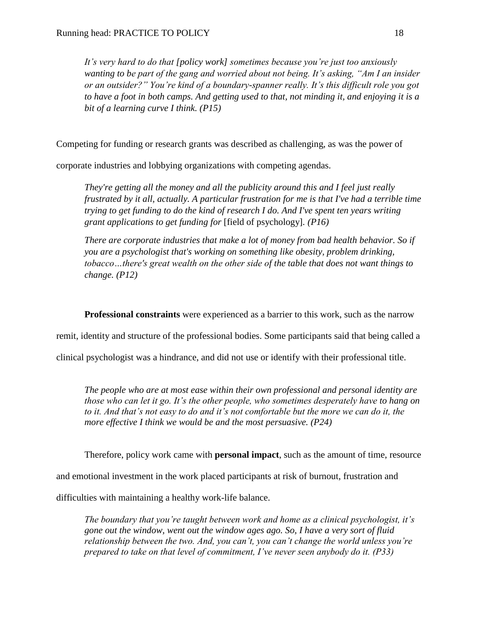*It's very hard to do that [policy work] sometimes because you're just too anxiously wanting to be part of the gang and worried about not being. It's asking, "Am I an insider or an outsider?" You're kind of a boundary-spanner really. It's this difficult role you got to have a foot in both camps. And getting used to that, not minding it, and enjoying it is a bit of a learning curve I think. (P15)*

Competing for funding or research grants was described as challenging, as was the power of

corporate industries and lobbying organizations with competing agendas.

*They're getting all the money and all the publicity around this and I feel just really frustrated by it all, actually. A particular frustration for me is that I've had a terrible time trying to get funding to do the kind of research I do. And I've spent ten years writing grant applications to get funding for* [field of psychology]*. (P16)*

*There are corporate industries that make a lot of money from bad health behavior. So if you are a psychologist that's working on something like obesity, problem drinking, tobacco…there's great wealth on the other side of the table that does not want things to change. (P12)*

**Professional constraints** were experienced as a barrier to this work, such as the narrow

remit, identity and structure of the professional bodies. Some participants said that being called a

clinical psychologist was a hindrance, and did not use or identify with their professional title.

*The people who are at most ease within their own professional and personal identity are those who can let it go. It's the other people, who sometimes desperately have to hang on to it. And that's not easy to do and it's not comfortable but the more we can do it, the more effective I think we would be and the most persuasive. (P24)*

Therefore, policy work came with **personal impact**, such as the amount of time, resource

and emotional investment in the work placed participants at risk of burnout, frustration and

difficulties with maintaining a healthy work-life balance.

*The boundary that you're taught between work and home as a clinical psychologist, it's gone out the window, went out the window ages ago. So, I have a very sort of fluid relationship between the two. And, you can't, you can't change the world unless you're prepared to take on that level of commitment, I've never seen anybody do it. (P33)*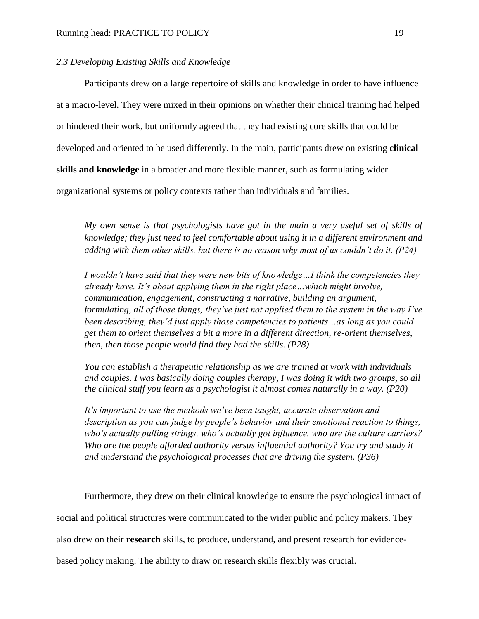## *2.3 Developing Existing Skills and Knowledge*

Participants drew on a large repertoire of skills and knowledge in order to have influence at a macro-level. They were mixed in their opinions on whether their clinical training had helped or hindered their work, but uniformly agreed that they had existing core skills that could be developed and oriented to be used differently. In the main, participants drew on existing **clinical skills and knowledge** in a broader and more flexible manner, such as formulating wider organizational systems or policy contexts rather than individuals and families.

*My own sense is that psychologists have got in the main a very useful set of skills of knowledge; they just need to feel comfortable about using it in a different environment and adding with them other skills, but there is no reason why most of us couldn't do it. (P24)*

*I wouldn't have said that they were new bits of knowledge…I think the competencies they already have. It's about applying them in the right place…which might involve, communication, engagement, constructing a narrative, building an argument, formulating, all of those things, they've just not applied them to the system in the way I've been describing, they'd just apply those competencies to patients…as long as you could get them to orient themselves a bit a more in a different direction, re-orient themselves, then, then those people would find they had the skills. (P28)*

*You can establish a therapeutic relationship as we are trained at work with individuals and couples. I was basically doing couples therapy, I was doing it with two groups, so all the clinical stuff you learn as a psychologist it almost comes naturally in a way. (P20)*

*It's important to use the methods we've been taught, accurate observation and description as you can judge by people's behavior and their emotional reaction to things, who's actually pulling strings, who's actually got influence, who are the culture carriers? Who are the people afforded authority versus influential authority? You try and study it and understand the psychological processes that are driving the system. (P36)*

Furthermore, they drew on their clinical knowledge to ensure the psychological impact of social and political structures were communicated to the wider public and policy makers. They also drew on their **research** skills, to produce, understand, and present research for evidencebased policy making. The ability to draw on research skills flexibly was crucial.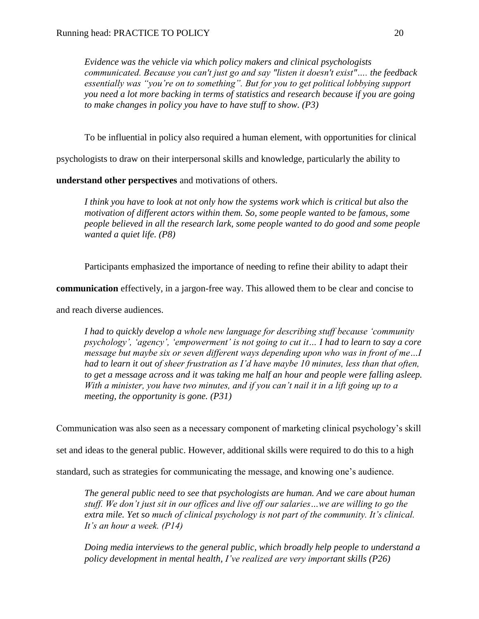*Evidence was the vehicle via which policy makers and clinical psychologists communicated. Because you can't just go and say "listen it doesn't exist"…. the feedback essentially was "you're on to something". But for you to get political lobbying support you need a lot more backing in terms of statistics and research because if you are going to make changes in policy you have to have stuff to show. (P3)*

To be influential in policy also required a human element, with opportunities for clinical

psychologists to draw on their interpersonal skills and knowledge, particularly the ability to

**understand other perspectives** and motivations of others.

*I think you have to look at not only how the systems work which is critical but also the motivation of different actors within them. So, some people wanted to be famous, some people believed in all the research lark, some people wanted to do good and some people wanted a quiet life. (P8)*

Participants emphasized the importance of needing to refine their ability to adapt their

**communication** effectively, in a jargon-free way. This allowed them to be clear and concise to

and reach diverse audiences.

*I had to quickly develop a whole new language for describing stuff because 'community psychology', 'agency', 'empowerment' is not going to cut it… I had to learn to say a core message but maybe six or seven different ways depending upon who was in front of me…I had to learn it out of sheer frustration as I'd have maybe 10 minutes, less than that often, to get a message across and it was taking me half an hour and people were falling asleep. With a minister, you have two minutes, and if you can't nail it in a lift going up to a meeting, the opportunity is gone. (P31)*

Communication was also seen as a necessary component of marketing clinical psychology's skill

set and ideas to the general public. However, additional skills were required to do this to a high

standard, such as strategies for communicating the message, and knowing one's audience.

*The general public need to see that psychologists are human. And we care about human stuff. We don't just sit in our offices and live off our salaries…we are willing to go the extra mile. Yet so much of clinical psychology is not part of the community. It's clinical. It's an hour a week. (P14)* 

*Doing media interviews to the general public, which broadly help people to understand a policy development in mental health, I've realized are very important skills (P26)*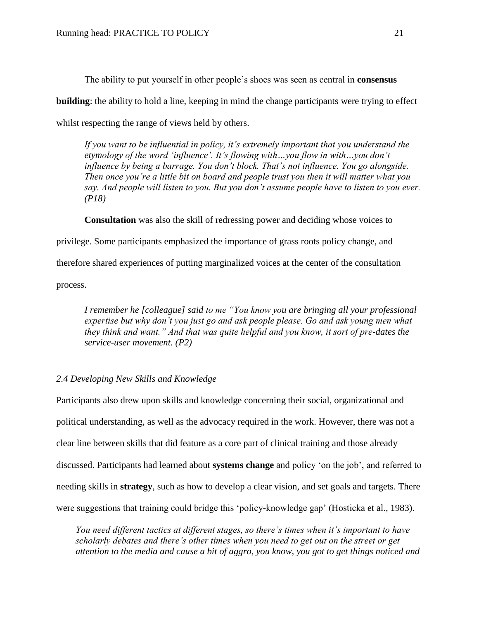The ability to put yourself in other people's shoes was seen as central in **consensus building**: the ability to hold a line, keeping in mind the change participants were trying to effect whilst respecting the range of views held by others.

*If you want to be influential in policy, it's extremely important that you understand the etymology of the word 'influence'. It's flowing with…you flow in with…you don't influence by being a barrage. You don't block. That's not influence. You go alongside. Then once you're a little bit on board and people trust you then it will matter what you say. And people will listen to you. But you don't assume people have to listen to you ever. (P18)*

**Consultation** was also the skill of redressing power and deciding whose voices to

privilege. Some participants emphasized the importance of grass roots policy change, and

therefore shared experiences of putting marginalized voices at the center of the consultation

process.

*I remember he [colleague] said to me "You know you are bringing all your professional expertise but why don't you just go and ask people please. Go and ask young men what they think and want." And that was quite helpful and you know, it sort of pre-dates the service-user movement. (P2)*

## *2.4 Developing New Skills and Knowledge*

Participants also drew upon skills and knowledge concerning their social, organizational and political understanding, as well as the advocacy required in the work. However, there was not a clear line between skills that did feature as a core part of clinical training and those already discussed. Participants had learned about **systems change** and policy 'on the job', and referred to needing skills in **strategy**, such as how to develop a clear vision, and set goals and targets. There were suggestions that training could bridge this 'policy-knowledge gap' (Hosticka et al., 1983).

*You need different tactics at different stages, so there's times when it's important to have scholarly debates and there's other times when you need to get out on the street or get attention to the media and cause a bit of aggro, you know, you got to get things noticed and*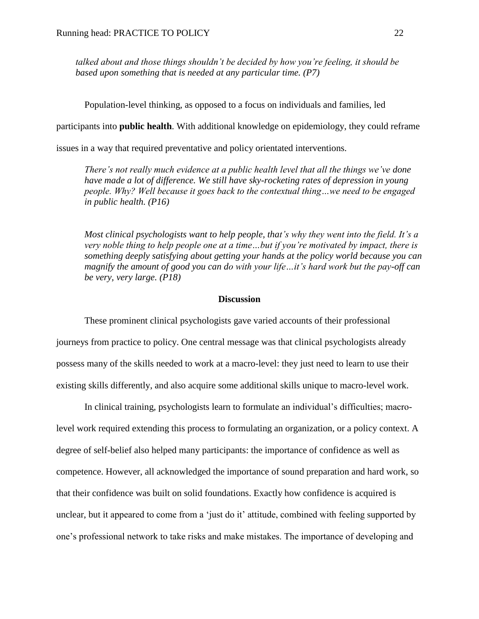*talked about and those things shouldn't be decided by how you're feeling, it should be based upon something that is needed at any particular time. (P7)*

Population-level thinking, as opposed to a focus on individuals and families, led

participants into **public health**. With additional knowledge on epidemiology, they could reframe

issues in a way that required preventative and policy orientated interventions.

*There's not really much evidence at a public health level that all the things we've done have made a lot of difference. We still have sky-rocketing rates of depression in young people. Why? Well because it goes back to the contextual thing…we need to be engaged in public health. (P16)*

*Most clinical psychologists want to help people, that's why they went into the field. It's a very noble thing to help people one at a time…but if you're motivated by impact, there is something deeply satisfying about getting your hands at the policy world because you can magnify the amount of good you can do with your life…it's hard work but the pay-off can be very, very large. (P18)*

#### **Discussion**

These prominent clinical psychologists gave varied accounts of their professional journeys from practice to policy. One central message was that clinical psychologists already possess many of the skills needed to work at a macro-level: they just need to learn to use their existing skills differently, and also acquire some additional skills unique to macro-level work.

In clinical training, psychologists learn to formulate an individual's difficulties; macrolevel work required extending this process to formulating an organization, or a policy context. A degree of self-belief also helped many participants: the importance of confidence as well as competence. However, all acknowledged the importance of sound preparation and hard work, so that their confidence was built on solid foundations. Exactly how confidence is acquired is unclear, but it appeared to come from a 'just do it' attitude, combined with feeling supported by one's professional network to take risks and make mistakes. The importance of developing and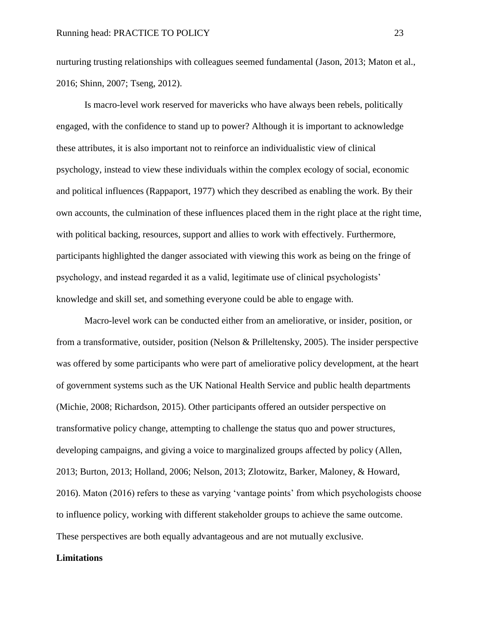nurturing trusting relationships with colleagues seemed fundamental (Jason, 2013; Maton et al., 2016; Shinn, 2007; Tseng, 2012).

Is macro-level work reserved for mavericks who have always been rebels, politically engaged, with the confidence to stand up to power? Although it is important to acknowledge these attributes, it is also important not to reinforce an individualistic view of clinical psychology, instead to view these individuals within the complex ecology of social, economic and political influences (Rappaport, 1977) which they described as enabling the work. By their own accounts, the culmination of these influences placed them in the right place at the right time, with political backing, resources, support and allies to work with effectively. Furthermore, participants highlighted the danger associated with viewing this work as being on the fringe of psychology, and instead regarded it as a valid, legitimate use of clinical psychologists' knowledge and skill set, and something everyone could be able to engage with.

Macro-level work can be conducted either from an ameliorative, or insider, position, or from a transformative, outsider, position (Nelson & Prilleltensky, 2005). The insider perspective was offered by some participants who were part of ameliorative policy development, at the heart of government systems such as the UK National Health Service and public health departments (Michie, 2008; Richardson, 2015). Other participants offered an outsider perspective on transformative policy change, attempting to challenge the status quo and power structures, developing campaigns, and giving a voice to marginalized groups affected by policy (Allen, 2013; Burton, 2013; Holland, 2006; Nelson, 2013; Zlotowitz, Barker, Maloney, & Howard, 2016). Maton (2016) refers to these as varying 'vantage points' from which psychologists choose to influence policy, working with different stakeholder groups to achieve the same outcome. These perspectives are both equally advantageous and are not mutually exclusive.

## **Limitations**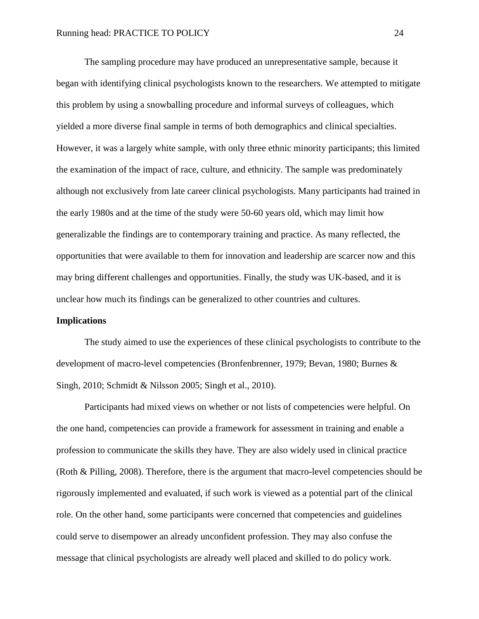The sampling procedure may have produced an unrepresentative sample, because it began with identifying clinical psychologists known to the researchers. We attempted to mitigate this problem by using a snowballing procedure and informal surveys of colleagues, which yielded a more diverse final sample in terms of both demographics and clinical specialties. However, it was a largely white sample, with only three ethnic minority participants; this limited the examination of the impact of race, culture, and ethnicity. The sample was predominately although not exclusively from late career clinical psychologists. Many participants had trained in the early 1980s and at the time of the study were 50-60 years old, which may limit how generalizable the findings are to contemporary training and practice. As many reflected, the opportunities that were available to them for innovation and leadership are scarcer now and this may bring different challenges and opportunities. Finally, the study was UK-based, and it is unclear how much its findings can be generalized to other countries and cultures.

#### **Implications**

The study aimed to use the experiences of these clinical psychologists to contribute to the development of macro-level competencies (Bronfenbrenner, 1979; Bevan, 1980; Burnes & Singh, 2010; Schmidt & Nilsson 2005; Singh et al., 2010).

Participants had mixed views on whether or not lists of competencies were helpful. On the one hand, competencies can provide a framework for assessment in training and enable a profession to communicate the skills they have. They are also widely used in clinical practice (Roth & Pilling, 2008). Therefore, there is the argument that macro-level competencies should be rigorously implemented and evaluated, if such work is viewed as a potential part of the clinical role. On the other hand, some participants were concerned that competencies and guidelines could serve to disempower an already unconfident profession. They may also confuse the message that clinical psychologists are already well placed and skilled to do policy work.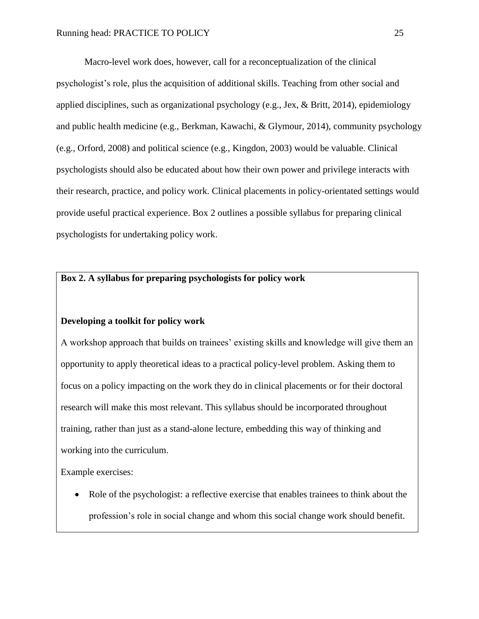Macro-level work does, however, call for a reconceptualization of the clinical psychologist's role, plus the acquisition of additional skills. Teaching from other social and applied disciplines, such as organizational psychology (e.g., Jex,  $\&$  Britt, 2014), epidemiology and public health medicine (e.g., Berkman, Kawachi, & Glymour, 2014), community psychology (e.g., Orford, 2008) and political science (e.g., Kingdon, 2003) would be valuable. Clinical psychologists should also be educated about how their own power and privilege interacts with their research, practice, and policy work. Clinical placements in policy-orientated settings would provide useful practical experience. Box 2 outlines a possible syllabus for preparing clinical psychologists for undertaking policy work.

## **Box 2. A syllabus for preparing psychologists for policy work**

## **Developing a toolkit for policy work**

A workshop approach that builds on trainees' existing skills and knowledge will give them an opportunity to apply theoretical ideas to a practical policy-level problem. Asking them to focus on a policy impacting on the work they do in clinical placements or for their doctoral research will make this most relevant. This syllabus should be incorporated throughout training, rather than just as a stand-alone lecture, embedding this way of thinking and working into the curriculum.

Example exercises:

• Role of the psychologist: a reflective exercise that enables trainees to think about the profession's role in social change and whom this social change work should benefit.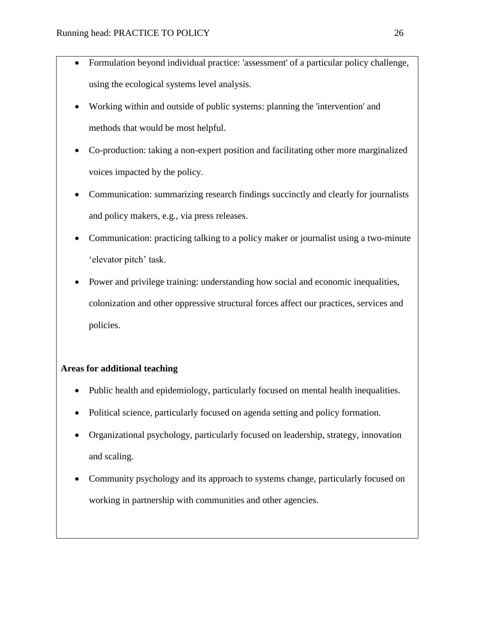- Formulation beyond individual practice: 'assessment' of a particular policy challenge, using the ecological systems level analysis.
- Working within and outside of public systems: planning the 'intervention' and methods that would be most helpful.
- Co-production: taking a non-expert position and facilitating other more marginalized voices impacted by the policy.
- Communication: summarizing research findings succinctly and clearly for journalists and policy makers, e.g., via press releases.
- Communication: practicing talking to a policy maker or journalist using a two-minute 'elevator pitch' task.
- Power and privilege training: understanding how social and economic inequalities, colonization and other oppressive structural forces affect our practices, services and policies.

## **Areas for additional teaching**

- Public health and epidemiology, particularly focused on mental health inequalities.
- Political science, particularly focused on agenda setting and policy formation.
- Organizational psychology, particularly focused on leadership, strategy, innovation and scaling.
- Community psychology and its approach to systems change, particularly focused on working in partnership with communities and other agencies.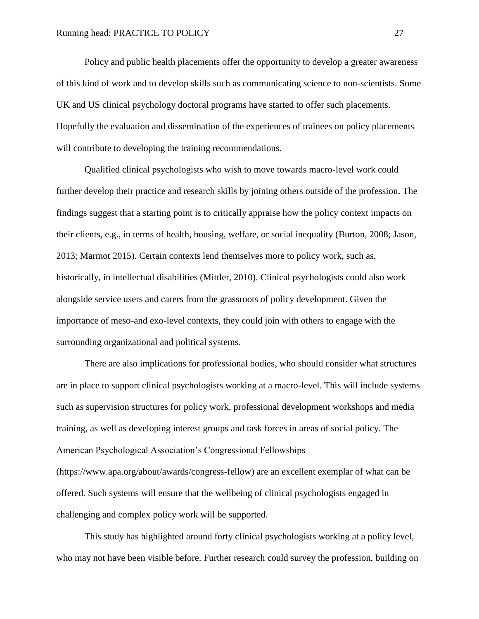Policy and public health placements offer the opportunity to develop a greater awareness of this kind of work and to develop skills such as communicating science to non-scientists. Some UK and US clinical psychology doctoral programs have started to offer such placements. Hopefully the evaluation and dissemination of the experiences of trainees on policy placements will contribute to developing the training recommendations.

Qualified clinical psychologists who wish to move towards macro-level work could further develop their practice and research skills by joining others outside of the profession. The findings suggest that a starting point is to critically appraise how the policy context impacts on their clients, e.g., in terms of health, housing, welfare, or social inequality (Burton, 2008; Jason, 2013; Marmot 2015). Certain contexts lend themselves more to policy work, such as, historically, in intellectual disabilities (Mittler, 2010). Clinical psychologists could also work alongside service users and carers from the grassroots of policy development. Given the importance of meso-and exo-level contexts, they could join with others to engage with the surrounding organizational and political systems.

There are also implications for professional bodies, who should consider what structures are in place to support clinical psychologists working at a macro-level. This will include systems such as supervision structures for policy work, professional development workshops and media training, as well as developing interest groups and task forces in areas of social policy. The American Psychological Association's Congressional Fellowships [\(https://www.apa.org/about/awards/congress-fellow\)](https://www.apa.org/about/awards/congress-fellow) are an excellent exemplar of what can be offered. Such systems will ensure that the wellbeing of clinical psychologists engaged in challenging and complex policy work will be supported.

This study has highlighted around forty clinical psychologists working at a policy level, who may not have been visible before. Further research could survey the profession, building on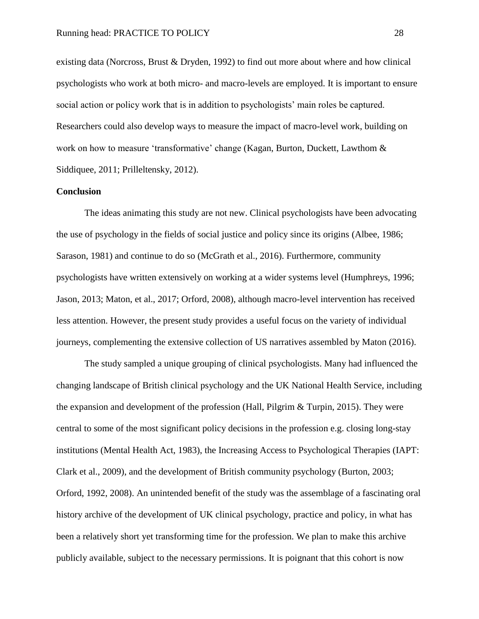existing data (Norcross, Brust & Dryden, 1992) to find out more about where and how clinical psychologists who work at both micro- and macro-levels are employed. It is important to ensure social action or policy work that is in addition to psychologists' main roles be captured. Researchers could also develop ways to measure the impact of macro-level work, building on work on how to measure 'transformative' change (Kagan, Burton, Duckett, Lawthom & Siddiquee, 2011; Prilleltensky, 2012).

#### **Conclusion**

The ideas animating this study are not new. Clinical psychologists have been advocating the use of psychology in the fields of social justice and policy since its origins (Albee, 1986; Sarason, 1981) and continue to do so (McGrath et al., 2016). Furthermore, community psychologists have written extensively on working at a wider systems level (Humphreys, 1996; Jason, 2013; Maton, et al., 2017; Orford, 2008), although macro-level intervention has received less attention. However, the present study provides a useful focus on the variety of individual journeys, complementing the extensive collection of US narratives assembled by Maton (2016).

The study sampled a unique grouping of clinical psychologists. Many had influenced the changing landscape of British clinical psychology and the UK National Health Service, including the expansion and development of the profession (Hall, Pilgrim & Turpin, 2015). They were central to some of the most significant policy decisions in the profession e.g. closing long-stay institutions (Mental Health Act, 1983), the Increasing Access to Psychological Therapies (IAPT: Clark et al., 2009), and the development of British community psychology (Burton, 2003; Orford, 1992, 2008). An unintended benefit of the study was the assemblage of a fascinating oral history archive of the development of UK clinical psychology, practice and policy, in what has been a relatively short yet transforming time for the profession. We plan to make this archive publicly available, subject to the necessary permissions. It is poignant that this cohort is now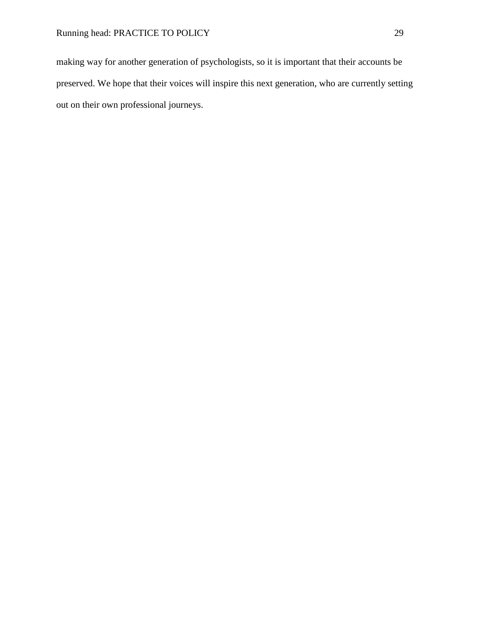making way for another generation of psychologists, so it is important that their accounts be preserved. We hope that their voices will inspire this next generation, who are currently setting out on their own professional journeys.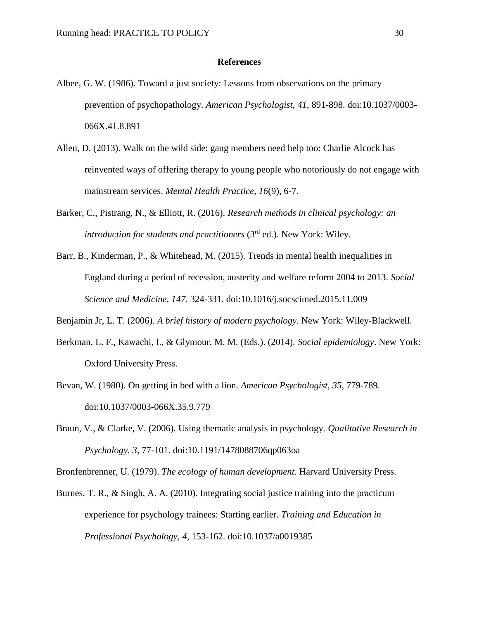### **References**

- Albee, G. W. (1986). Toward a just society: Lessons from observations on the primary prevention of psychopathology. *American Psychologist*, *41*, 891-898. doi:10.1037/0003- 066X.41.8.891
- Allen, D. (2013). Walk on the wild side: gang members need help too: Charlie Alcock has reinvented ways of offering therapy to young people who notoriously do not engage with mainstream services. *Mental Health Practice, 16*(9), 6-7.
- Barker, C., Pistrang, N., & Elliott, R. (2016). *Research methods in clinical psychology: an introduction for students and practitioners* (3rd ed.). New York: Wiley.
- Barr, B., Kinderman, P., & Whitehead, M. (2015). Trends in mental health inequalities in England during a period of recession, austerity and welfare reform 2004 to 2013. *Social Science and Medicine, 147*, 324-331. doi:10.1016/j.socscimed.2015.11.009

Benjamin Jr, L. T. (2006). *A brief history of modern psychology*. New York: Wiley-Blackwell.

- Berkman, L. F., Kawachi, I., & Glymour, M. M. (Eds.). (2014). *Social epidemiology*. New York: Oxford University Press.
- Bevan, W. (1980). On getting in bed with a lion. *American Psychologist, 35*, 779-789. doi:10.1037/0003-066X.35.9.779
- Braun, V., & Clarke, V. (2006). Using thematic analysis in psychology. *Qualitative Research in Psychology, 3*, 77-101. doi:10.1191/1478088706qp063oa

Bronfenbrenner, U. (1979). *The ecology of human development*. Harvard University Press.

Burnes, T. R., & Singh, A. A. (2010). Integrating social justice training into the practicum experience for psychology trainees: Starting earlier. *Training and Education in Professional Psychology, 4*, 153-162. doi:10.1037/a0019385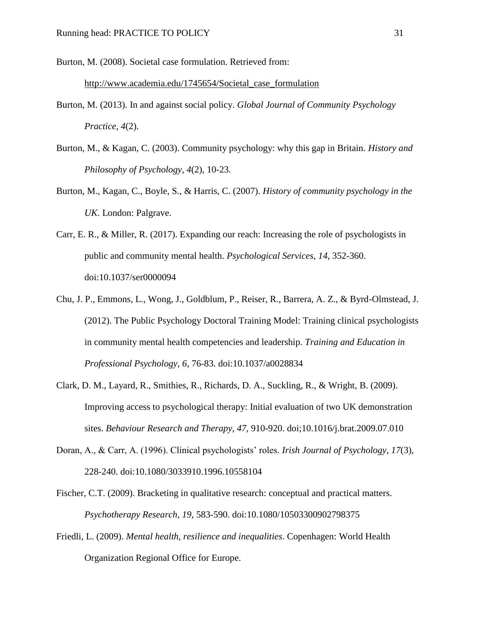Burton, M. (2008). Societal case formulation. Retrieved from:

[http://www.academia.edu/1745654/Societal\\_case\\_formulation](http://www.academia.edu/1745654/Societal_case_formulation)

- Burton, M. (2013). In and against social policy. *Global Journal of Community Psychology Practice, 4*(2).
- Burton, M., & Kagan, C. (2003). Community psychology: why this gap in Britain. *History and Philosophy of Psychology, 4*(2), 10-23.
- Burton, M., Kagan, C., Boyle, S., & Harris, C. (2007). *History of community psychology in the UK*. London: Palgrave.
- Carr, E. R., & Miller, R. (2017). Expanding our reach: Increasing the role of psychologists in public and community mental health. *Psychological Services*, *14*, 352-360. doi:10.1037/ser0000094
- Chu, J. P., Emmons, L., Wong, J., Goldblum, P., Reiser, R., Barrera, A. Z., & Byrd-Olmstead, J. (2012). The Public Psychology Doctoral Training Model: Training clinical psychologists in community mental health competencies and leadership. *Training and Education in Professional Psychology, 6*, 76-83. doi:10.1037/a0028834
- Clark, D. M., Layard, R., Smithies, R., Richards, D. A., Suckling, R., & Wright, B. (2009). Improving access to psychological therapy: Initial evaluation of two UK demonstration sites. *Behaviour Research and Therapy, 47*, 910-920. doi;10.1016/j.brat.2009.07.010
- Doran, A., & Carr, A. (1996). Clinical psychologists' roles. *Irish Journal of Psychology, 17*(3), 228-240. doi:10.1080/3033910.1996.10558104
- Fischer, C.T. (2009). Bracketing in qualitative research: conceptual and practical matters. *Psychotherapy Research, 19*, 583-590. doi:10.1080/10503300902798375
- Friedli, L. (2009). *Mental health, resilience and inequalities*. Copenhagen: World Health Organization Regional Office for Europe.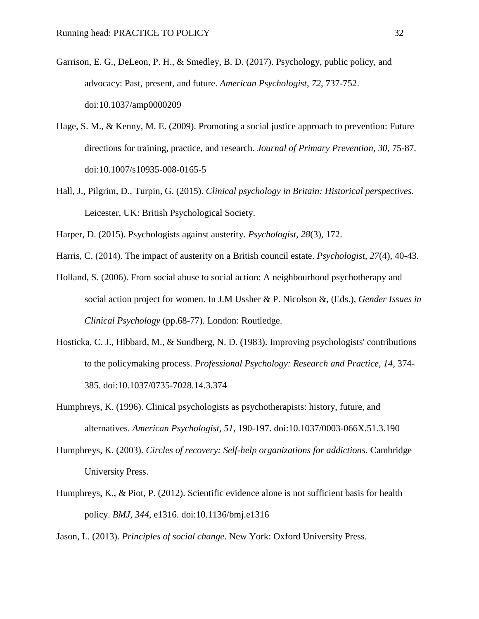- Garrison, E. G., DeLeon, P. H., & Smedley, B. D. (2017). Psychology, public policy, and advocacy: Past, present, and future. *American Psychologist*, *72*, 737-752. doi:10.1037/amp0000209
- Hage, S. M., & Kenny, M. E. (2009). Promoting a social justice approach to prevention: Future directions for training, practice, and research. *Journal of Primary Prevention, 30*, 75-87. doi:10.1007/s10935-008-0165-5
- Hall, J., Pilgrim, D., Turpin, G. (2015). *Clinical psychology in Britain: Historical perspectives.* Leicester, UK: British Psychological Society.
- Harper, D. (2015). Psychologists against austerity. *Psychologist, 28*(3), 172.
- Harris, C. (2014). The impact of austerity on a British council estate. *Psychologist, 27*(4), 40-43.
- Holland, S. (2006). From social abuse to social action: A neighbourhood psychotherapy and social action project for women. In J.M Ussher & P. Nicolson &, (Eds.), *Gender Issues in Clinical Psychology* (pp.68-77). London: Routledge.
- Hosticka, C. J., Hibbard, M., & Sundberg, N. D. (1983). Improving psychologists' contributions to the policymaking process. *Professional Psychology: Research and Practice, 14*, 374- 385. doi:10.1037/0735-7028.14.3.374
- Humphreys, K. (1996). Clinical psychologists as psychotherapists: history, future, and alternatives. *American Psychologist, 51*, 190-197. doi:10.1037/0003-066X.51.3.190
- Humphreys, K. (2003). *Circles of recovery: Self-help organizations for addictions*. Cambridge University Press.
- Humphreys, K., & Piot, P. (2012). Scientific evidence alone is not sufficient basis for health policy. *BMJ, 344*, e1316. doi:10.1136/bmj.e1316

Jason, L. (2013). *Principles of social change*. New York: Oxford University Press.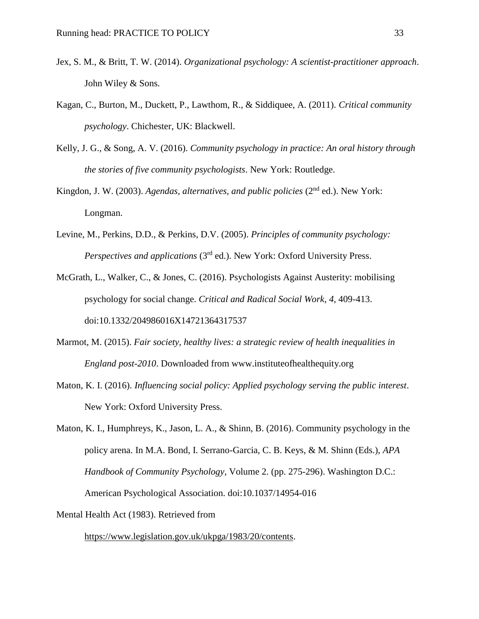- Jex, S. M., & Britt, T. W. (2014). *Organizational psychology: A scientist-practitioner approach*. John Wiley & Sons.
- Kagan, C., Burton, M., Duckett, P., Lawthom, R., & Siddiquee, A. (2011). *Critical community psychology*. Chichester, UK: Blackwell.
- Kelly, J. G., & Song, A. V. (2016). *Community psychology in practice: An oral history through the stories of five community psychologists*. New York: Routledge.
- Kingdon, J. W. (2003). *Agendas, alternatives, and public policies* (2<sup>nd</sup> ed.). New York: Longman.
- Levine, M., Perkins, D.D., & Perkins, D.V. (2005). *Principles of community psychology: Perspectives and applications* (3<sup>rd</sup> ed.). New York: Oxford University Press.
- McGrath, L., Walker, C., & Jones, C. (2016). Psychologists Against Austerity: mobilising psychology for social change. *Critical and Radical Social Work*, *4*, 409-413. doi:10.1332/204986016X14721364317537
- Marmot, M. (2015). *Fair society, healthy lives: a strategic review of health inequalities in England post-2010*. Downloaded from www.instituteofhealthequity.org
- Maton, K. I. (2016). *Influencing social policy: Applied psychology serving the public interest*. New York: Oxford University Press.
- Maton, K. I., Humphreys, K., Jason, L. A., & Shinn, B. (2016). Community psychology in the policy arena. In M.A. Bond, I. Serrano-Garcia, C. B. Keys, & M. Shinn (Eds.), *APA Handbook of Community Psychology*, Volume 2. (pp. 275-296). Washington D.C.: American Psychological Association. doi:10.1037/14954-016

Mental Health Act (1983). Retrieved from

[https://www.legislation.gov.uk/ukpga/1983/20/contents.](https://www.legislation.gov.uk/ukpga/1983/20/contents)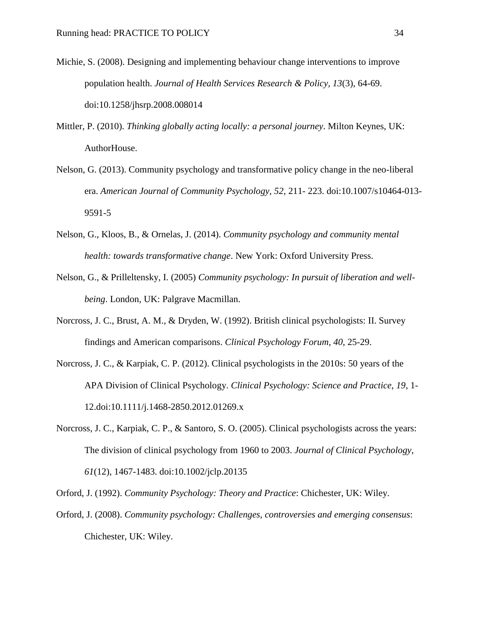- Michie, S. (2008). Designing and implementing behaviour change interventions to improve population health. *Journal of Health Services Research & Policy, 13*(3), 64-69. doi:10.1258/jhsrp.2008.008014
- Mittler, P. (2010). *Thinking globally acting locally: a personal journey*. Milton Keynes, UK: AuthorHouse.
- Nelson, G. (2013). Community psychology and transformative policy change in the neo-liberal era. *American Journal of Community Psychology, 52*, 211- 223. doi:10.1007/s10464-013- 9591-5
- Nelson, G., Kloos, B., & Ornelas, J. (2014). *Community psychology and community mental health: towards transformative change*. New York: Oxford University Press.
- Nelson, G., & Prilleltensky, I. (2005) *Community psychology: In pursuit of liberation and wellbeing*. London, UK: Palgrave Macmillan.
- Norcross, J. C., Brust, A. M., & Dryden, W. (1992). British clinical psychologists: II. Survey findings and American comparisons. *Clinical Psychology Forum, 40*, 25-29.
- Norcross, J. C., & Karpiak, C. P. (2012). Clinical psychologists in the 2010s: 50 years of the APA Division of Clinical Psychology. *Clinical Psychology: Science and Practice, 19*, 1- 12.doi:10.1111/j.1468-2850.2012.01269.x
- Norcross, J. C., Karpiak, C. P., & Santoro, S. O. (2005). Clinical psychologists across the years: The division of clinical psychology from 1960 to 2003. *Journal of Clinical Psychology, 61*(12), 1467-1483. doi:10.1002/jclp.20135
- Orford, J. (1992). *Community Psychology: Theory and Practice*: Chichester, UK: Wiley.
- Orford, J. (2008). *Community psychology: Challenges, controversies and emerging consensus*: Chichester, UK: Wiley.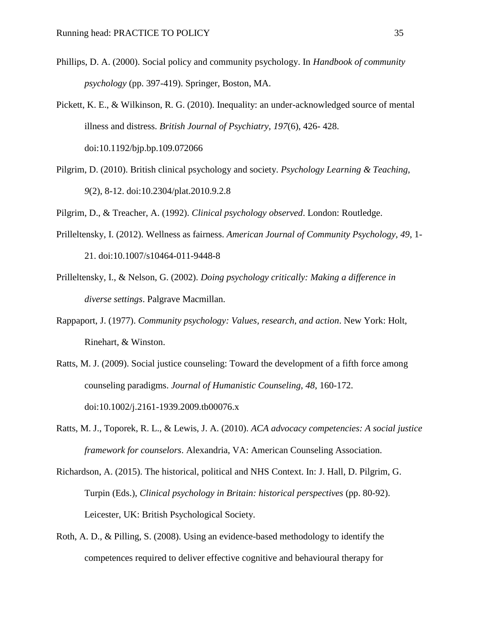- Phillips, D. A. (2000). Social policy and community psychology. In *Handbook of community psychology* (pp. 397-419). Springer, Boston, MA.
- Pickett, K. E., & Wilkinson, R. G. (2010). Inequality: an under-acknowledged source of mental illness and distress. *British Journal of Psychiatry, 197*(6), 426- 428. doi:10.1192/bjp.bp.109.072066
- Pilgrim, D. (2010). British clinical psychology and society. *Psychology Learning & Teaching, 9*(2), 8-12. doi:10.2304/plat.2010.9.2.8

Pilgrim, D., & Treacher, A. (1992). *Clinical psychology observed*. London: Routledge.

- Prilleltensky, I. (2012). Wellness as fairness. *American Journal of Community Psychology, 49*, 1- 21. doi:10.1007/s10464-011-9448-8
- Prilleltensky, I., & Nelson, G. (2002). *Doing psychology critically: Making a difference in diverse settings*. Palgrave Macmillan.
- Rappaport, J. (1977). *Community psychology: Values, research, and action*. New York: Holt, Rinehart, & Winston.
- Ratts, M. J. (2009). Social justice counseling: Toward the development of a fifth force among counseling paradigms. *Journal of Humanistic Counseling, 48*, 160-172. doi:10.1002/j.2161-1939.2009.tb00076.x
- Ratts, M. J., Toporek, R. L., & Lewis, J. A. (2010). *ACA advocacy competencies: A social justice framework for counselors*. Alexandria, VA: American Counseling Association.
- Richardson, A. (2015). The historical, political and NHS Context. In: J. Hall, D. Pilgrim, G. Turpin (Eds.), *Clinical psychology in Britain: historical perspectives* (pp. 80-92). Leicester, UK: British Psychological Society.
- Roth, A. D., & Pilling, S. (2008). Using an evidence-based methodology to identify the competences required to deliver effective cognitive and behavioural therapy for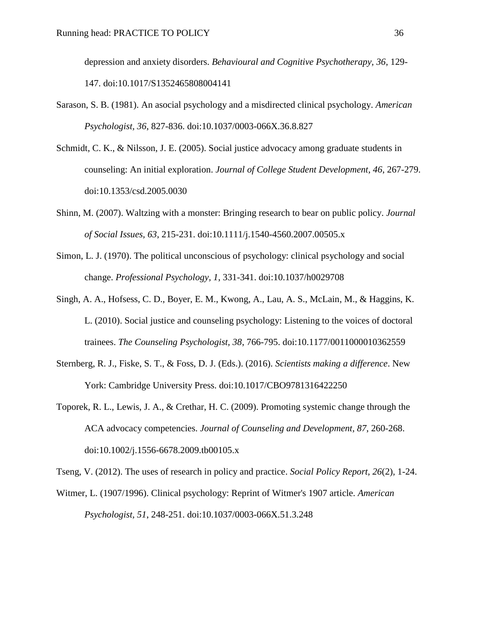depression and anxiety disorders. *Behavioural and Cognitive Psychotherapy, 36*, 129- 147. doi:10.1017/S1352465808004141

- Sarason, S. B. (1981). An asocial psychology and a misdirected clinical psychology. *American Psychologist, 36*, 827-836. doi:10.1037/0003-066X.36.8.827
- Schmidt, C. K., & Nilsson, J. E. (2005). Social justice advocacy among graduate students in counseling: An initial exploration. *Journal of College Student Development, 46*, 267-279. doi:10.1353/csd.2005.0030
- Shinn, M. (2007). Waltzing with a monster: Bringing research to bear on public policy. *Journal of Social Issues, 63*, 215-231. doi:10.1111/j.1540-4560.2007.00505.x
- Simon, L. J. (1970). The political unconscious of psychology: clinical psychology and social change. *Professional Psychology, 1*, 331-341. doi:10.1037/h0029708
- Singh, A. A., Hofsess, C. D., Boyer, E. M., Kwong, A., Lau, A. S., McLain, M., & Haggins, K. L. (2010). Social justice and counseling psychology: Listening to the voices of doctoral trainees. *The Counseling Psychologist, 38*, 766-795. doi:10.1177/0011000010362559
- Sternberg, R. J., Fiske, S. T., & Foss, D. J. (Eds.). (2016). *Scientists making a difference*. New York: Cambridge University Press. doi:10.1017/CBO9781316422250
- Toporek, R. L., Lewis, J. A., & Crethar, H. C. (2009). Promoting systemic change through the ACA advocacy competencies. *Journal of Counseling and Development, 87*, 260-268. doi:10.1002/j.1556-6678.2009.tb00105.x

Tseng, V. (2012). The uses of research in policy and practice. *Social Policy Report, 26*(2), 1-24.

Witmer, L. (1907/1996). Clinical psychology: Reprint of Witmer's 1907 article. *American Psychologist, 51*, 248-251. doi:10.1037/0003-066X.51.3.248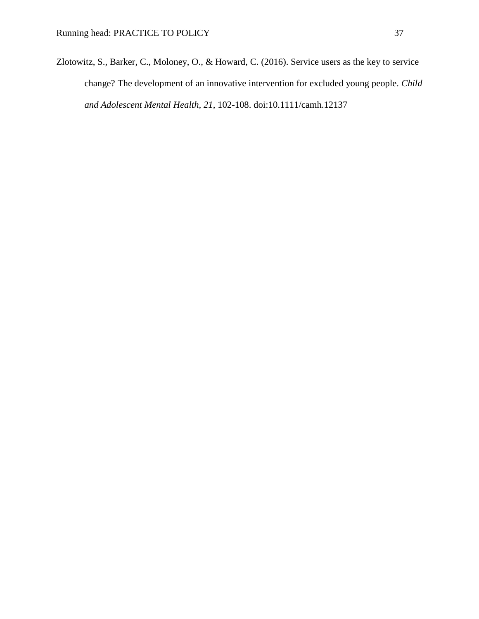Zlotowitz, S., Barker, C., Moloney, O., & Howard, C. (2016). Service users as the key to service change? The development of an innovative intervention for excluded young people. *Child and Adolescent Mental Health, 21*, 102-108. doi:10.1111/camh.12137